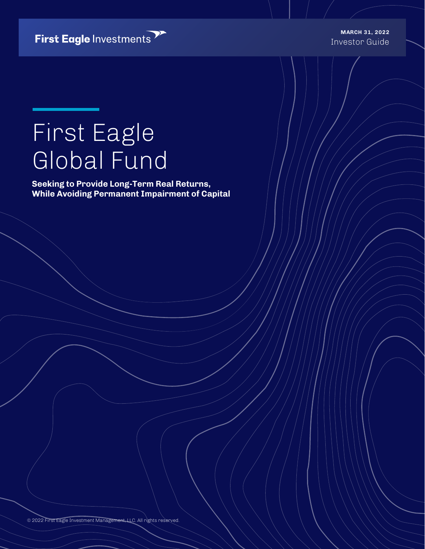First Eagle Investments

Investor Guide **MARCH 31, 2022**

# First Eagle Global Fund

**Seeking to Provide Long-Term Real Returns, While Avoiding Permanent Impairment of Capital**

© 2022 First Eagle Investment Management, LLC. All rights reserved.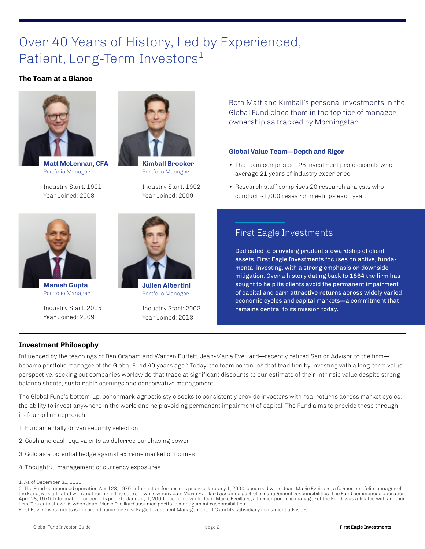### Over 40 Years of History, Led by Experienced, Patient, Long-Term Investors<sup>1</sup>

#### **The Team at a Glance**



**Matt McLennan, CFA** Portfolio Manager

Industry Start: 1991 Year Joined: 2008



**Manish Gupta** Portfolio Manager

Industry Start: 2005 Year Joined: 2009



**Kimball Brooker** Portfolio Manager

Industry Start: 1992 Year Joined: 2009

Both Matt and Kimball's personal investments in the Global Fund place them in the top tier of manager ownership as tracked by Morningstar.

#### **Global Value Team—Depth and Rigor**

- The team comprises ~28 investment professionals who average 21 years of industry experience.
- Research staff comprises 20 research analysts who conduct ~1,000 research meetings each year.



**Julien Albertini** Portfolio Manager

Industry Start: 2002 Year Joined: 2013

### First Eagle Investments

Dedicated to providing prudent stewardship of client assets, First Eagle Investments focuses on active, fundamental investing, with a strong emphasis on downside mitigation. Over a history dating back to 1864 the firm has sought to help its clients avoid the permanent impairment of capital and earn attractive returns across widely varied economic cycles and capital markets—a commitment that remains central to its mission today.

#### **Investment Philosophy**

Influenced by the teachings of Ben Graham and Warren Buffett, Jean-Marie Eveillard—recently retired Senior Advisor to the firm became portfolio manager of the Global Fund 40 years ago.<sup>2</sup> Today, the team continues that tradition by investing with a long-term value perspective, seeking out companies worldwide that trade at significant discounts to our estimate of their intrinsic value despite strong balance sheets, sustainable earnings and conservative management.

The Global Fund's bottom-up, benchmark-agnostic style seeks to consistently provide investors with real returns across market cycles, the ability to invest anywhere in the world and help avoiding permanent impairment of capital. The Fund aims to provide these through its four-pillar approach:

- 1. Fundamentally driven security selection
- 2. Cash and cash equivalents as deferred purchasing power
- 3. Gold as a potential hedge against extreme market outcomes
- 4. Thoughtful management of currency exposures

2. The Fund commenced operation April 28, 1970. Information for periods prior to January 1, 2000, occurred while Jean-Marie Eveillard, a former portfolio manager of the Fund, was affiliated with another firm. The date shown is when Jean-Marie Eveillard assumed portfolio management responsibilities. The Fund commenced operation April 28, 1970. Information for periods prior to January 1, 2000, occurred while Jean-Marie Eveillard, a former portfolio manager of the Fund, was affiliated with another firm. The date shown is when Jean-Marie Eveillard assumed portfolio management responsibilities.

First Eagle Investments is the brand name for First Eagle Investment Management, LLC and its subsidiary investment advisors.

<sup>1.</sup> As of December 31, 2021.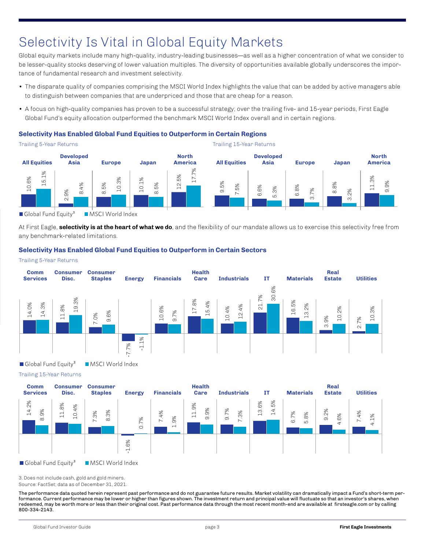# Selectivity Is Vital in Global Equity Markets

Global equity markets include many high-quality, industry-leading businesses—as well as a higher concentration of what we consider to be lesser-quality stocks deserving of lower valuation multiples. The diversity of opportunities available globally underscores the importance of fundamental research and investment selectivity.

- The disparate quality of companies comprising the MSCI World Index highlights the value that can be added by active managers able to distinguish between companies that are underpriced and those that are cheap for a reason.
- A focus on high-quality companies has proven to be a successful strategy; over the trailing five- and 15-year periods, First Eagle Global Fund's equity allocation outperformed the benchmark MSCI World Index overall and in certain regions.

#### **Selectivity Has Enabled Global Fund Equities to Outperform in Certain Regions**

Trailing 5-Year Returns Trailing 15-Year Returns **North Developed Developed North All Equities Asia Europe Japan All Equities Asia Europe Japan America** 17.7% 12.5% 10.6% 15.1% 10.3% 10.1% 11.3% 9.5% 9.9% 8.4% 8.5% 8.5% 8.8% 7.5% 6.6% 6.8% 5.3% 3.7% 2.9% 3.2% Global Fund Equity<sup>3</sup> MSCI World Index

At First Eagle, **selectivity is at the heart of what we do**, and the flexibility of our mandate allows us to exercise this selectivity free from any benchmark-related limitations.

#### **Selectivity Has Enabled Global Fund Equities to Outperform in Certain Sectors**

#### Trailing 5-Year Returns



Trailing 15-Year Returns



3. Does not include cash, gold and gold miners.

Source: FactSet; data as of December 31, 2021.

The performance data quoted herein represent past performance and do not guarantee future results. Market volatility can dramatically impact a Fund's short-term performance. Current performance may be lower or higher than figures shown. The investment return and principal value will fluctuate so that an investor's shares, when redeemed, may be worth more or less than their original cost. Past performance data through the most recent month-end are available at firsteagle.com or by calling 800-334-2143.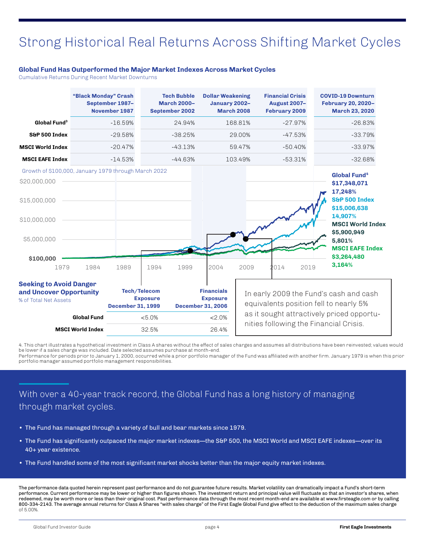### Strong Historical Real Returns Across Shifting Market Cycles

#### **Global Fund Has Outperformed the Major Market Indexes Across Market Cycles**

Cumulative Returns During Recent Market Downturns

|                                                                                                          | "Black Monday" Crash | September 1987-<br>November 1987 |                                                                                                                                      | <b>Tech Bubble</b><br><b>March 2000-</b><br>September 2002 | <b>Dollar Weakening</b><br>January 2002-                                                                                                                                | <b>March 2008</b> | <b>Financial Crisis</b><br><b>August 2007-</b><br>February 2009 |      | <b>COVID-19 Downturn</b><br>February 20, 2020-<br><b>March 23, 2020</b>                                                    |  |
|----------------------------------------------------------------------------------------------------------|----------------------|----------------------------------|--------------------------------------------------------------------------------------------------------------------------------------|------------------------------------------------------------|-------------------------------------------------------------------------------------------------------------------------------------------------------------------------|-------------------|-----------------------------------------------------------------|------|----------------------------------------------------------------------------------------------------------------------------|--|
| Global Fund <sup>3</sup>                                                                                 |                      | $-16.59%$                        |                                                                                                                                      | 24.94%                                                     | 168.81%                                                                                                                                                                 |                   | $-27.97%$                                                       |      | $-26.83%$                                                                                                                  |  |
| S&P 500 Index                                                                                            |                      | $-29.58%$                        |                                                                                                                                      | $-38.25%$                                                  |                                                                                                                                                                         | 29.00%            | $-47.53%$                                                       |      | $-33.79%$                                                                                                                  |  |
| <b>MSCI World Index</b>                                                                                  |                      | $-20.47%$                        |                                                                                                                                      | $-43.13%$                                                  |                                                                                                                                                                         | 59.47%            | $-50.40%$                                                       |      | $-33.97%$                                                                                                                  |  |
| <b>MSCI EAFE Index</b>                                                                                   |                      | $-14.53%$                        |                                                                                                                                      | $-44.63%$                                                  |                                                                                                                                                                         | 103.49%           | $-53.31%$                                                       |      | $-32.68%$                                                                                                                  |  |
| Growth of \$100,000, January 1979 through March 2022<br>\$20,000,000<br>\$15,000,000<br>\$10,000,000     |                      |                                  |                                                                                                                                      |                                                            |                                                                                                                                                                         |                   |                                                                 |      | Global Fund <sup>4</sup><br>\$17,348,071<br>17,248%<br>S&P 500 Index<br>\$15,006,638<br>14,907%<br><b>MSCI World Index</b> |  |
| \$5,000,000<br>\$100,000<br>1979                                                                         | 1984                 | 1989                             | 1994                                                                                                                                 | 1999                                                       | 2004                                                                                                                                                                    | 2009              | 2014                                                            | 2019 | \$5,900,949<br>5.801%<br><b>MSCI EAFE Index</b><br>\$3,264,480<br>3,164%                                                   |  |
| <b>Seeking to Avoid Danger</b><br>and Uncover Opportunity<br>% of Total Net Assets<br><b>Global Fund</b> |                      | <b>December 31, 1999</b>         | <b>Tech/Telecom</b><br><b>Financials</b><br><b>Exposure</b><br><b>Exposure</b><br><b>December 31, 2006</b><br>$< 5.0\%$<br>$< 2.0\%$ |                                                            | In early 2009 the Fund's cash and cash<br>equivalents position fell to nearly 5%<br>as it sought attractively priced opportu-<br>nities following the Financial Crisis. |                   |                                                                 |      |                                                                                                                            |  |
| <b>MSCI World Index</b>                                                                                  |                      |                                  | 32.5%                                                                                                                                |                                                            | 26.4%                                                                                                                                                                   |                   |                                                                 |      |                                                                                                                            |  |

4. This chart illustrates a hypothetical investment in Class A shares without the effect of sales charges and assumes all distributions have been reinvested; values would be lower if a sales charge was included. Date selected assumes purchase at month-end.

Performance for periods prior to January 1, 2000, occurred while a prior portfolio manager of the Fund was affiliated with another firm. January 1979 is when this prior portfolio manager assumed portfolio management responsibilities.

### With over a 40-year track record, the Global Fund has a long history of managing through market cycles.

- The Fund has managed through a variety of bull and bear markets since 1979.
- The Fund has significantly outpaced the major market indexes—the S&P 500, the MSCI World and MSCI EAFE indexes—over its 40+ year existence.
- The Fund handled some of the most significant market shocks better than the major equity market indexes.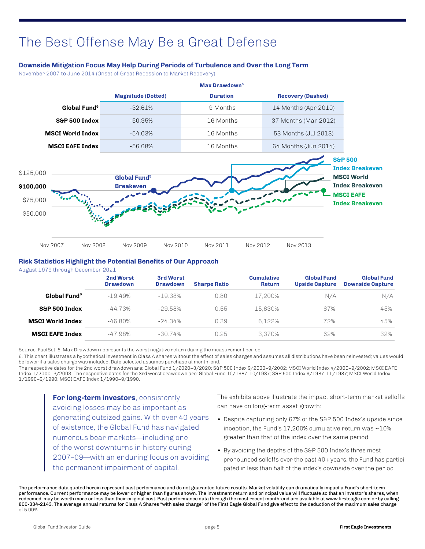### The Best Offense May Be a Great Defense

#### **Downside Mitigation Focus May Help During Periods of Turbulence and Over the Long Term**

November 2007 to June 2014 (Onset of Great Recession to Market Recovery)

|                          | Max Drawdown <sup>5</sup> |                 |                          |  |  |  |  |
|--------------------------|---------------------------|-----------------|--------------------------|--|--|--|--|
|                          | <b>Magnitude (Dotted)</b> | <b>Duration</b> | <b>Recovery (Dashed)</b> |  |  |  |  |
| Global Fund <sup>6</sup> | $-32.61%$                 | 9 Months        | 14 Months (Apr 2010)     |  |  |  |  |
| S&P 500 Index            | -50.95%                   | 16 Months       | 37 Months (Mar 2012)     |  |  |  |  |
| <b>MSCI World Index</b>  | -54 0.3%                  | 16 Months       | 53 Months (Jul 2013)     |  |  |  |  |
| <b>MSCI EAFE Index</b>   | -56.68%                   | 16 Months       | 64 Months (Jun 2014)     |  |  |  |  |



#### **Risk Statistics Highlight the Potential Benefits of Our Approach**

August 1979 through December 2021

|                          | 2nd Worst<br><b>Drawdown</b> | 3rd Worst<br><b>Drawdown</b> | <b>Sharpe Ratio</b> | <b>Cumulative</b><br><b>Return</b> | <b>Global Fund</b><br>Upside Capture | <b>Global Fund</b><br><b>Downside Capture</b> |
|--------------------------|------------------------------|------------------------------|---------------------|------------------------------------|--------------------------------------|-----------------------------------------------|
| Global Fund <sup>6</sup> | $-19.49%$                    | $-19.38\%$                   | 0.80                | 17.200%                            | N/A                                  | N/A                                           |
| S&P 500 Index            | $-44.73%$                    | $-29.58\%$                   | 0.55                | 15.630%                            | 67%                                  | 45%                                           |
| <b>MSCI World Index</b>  | $-46.80\%$                   | $-24.34\%$                   | 0.39                | 6.122%                             | 72%                                  | 45%                                           |
| <b>MSCI EAFE Index</b>   | -47.98%                      | $-30.74\%$                   | 0.25                | 3.370%                             | 62%                                  | 32%                                           |

Source: FactSet. 5. Max Drawdown represents the worst negative return during the measurement period.

6. This chart illustrates a hypothetical investment in Class A shares without the effect of sales charges and assumes all distributions have been reinvested; values would be lower if a sales charge was included. Date selected assumes purchase at month-end.

The respective dates for the 2nd worst drawdown are: Global Fund 1/2020–3/2020; S&P 500 Index 9/2000–9/2002; MSCI World Index 4/2000–9/2002; MSCI EAFE Index 1/2000–3/2003. The respective dates for the 3rd worst drawdown are: Global Fund 10/1987–10/1987; S&P 500 Index 9/1987–11/1987; MSCI World Index 1/1990–9/1990; MSCI EAFE Index 1/1990–9/1990.

**For long-term investors**, consistently avoiding losses may be as important as generating outsized gains. With over 40 years of existence, the Global Fund has navigated numerous bear markets—including one of the worst downturns in history during 2007–09—with an enduring focus on avoiding the permanent impairment of capital.

The exhibits above illustrate the impact short-term market selloffs can have on long-term asset growth:

- Despite capturing only 67% of the S&P 500 Index's upside since inception, the Fund's  $17.200\%$  cumulative return was  $\sim10\%$ greater than that of the index over the same period.
- By avoiding the depths of the S&P 500 Index's three most pronounced selloffs over the past 40+ years, the Fund has participated in less than half of the index's downside over the period.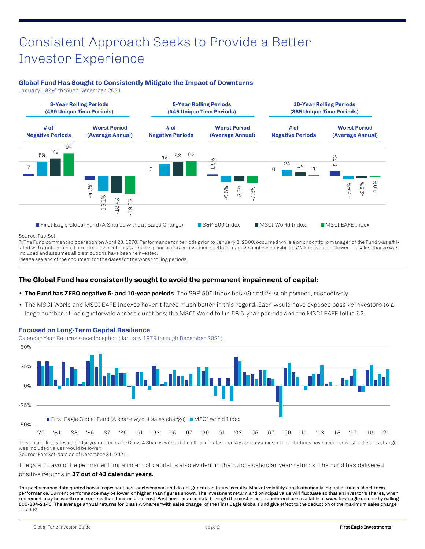## Consistent Approach Seeks to Provide a Better Investor Experience

#### **Global Fund Has Sought to Consistently Mitigate the Impact of Downturns**

January 1979<sup>7</sup> through December 2021



#### Source: FactSet.

7. The Fund commenced operation on April 28, 1970. Performance for periods prior to January 1, 2000, occurred while a prior portfolio manager of the Fund was affiliated with another firm. The date shown reflects when this prior manager assumed portfolio management responsibilities.Values would be lower if a sales charge was included and assumes all distributions have been reinvested.

Please see end of the document for the dates for the worst rolling periods.

#### **The Global Fund has consistently sought to avoid the permanent impairment of capital:**

- The Fund has ZERO negative 5- and 10-year periods. The S&P 500 Index has 49 and 24 such periods, respectively.
- The MSCI World and MSCI EAFE Indexes haven't fared much better in this regard. Each would have exposed passive investors to a large number of losing intervals across durations; the MSCI World fell in 58 5-year periods and the MSCI EAFE fell in 62.



This chart illustrates calendar year returns for Class A Shares without the effect of sales charges and assumes all distributions have been reinvested.If sales charge was included values would be lower.

Source: FactSet; data as of December 31, 2021.

The goal to avoid the permanent impairment of capital is also evident in the Fund's calendar year returns: The Fund has delivered

#### positive returns in **37 out of 43 calendar years.**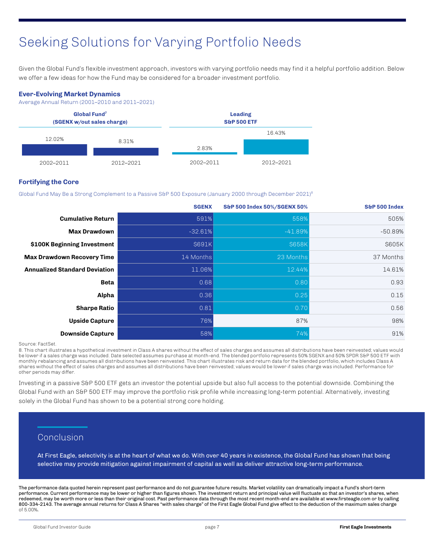# Seeking Solutions for Varying Portfolio Needs

Given the Global Fund's flexible investment approach, investors with varying portfolio needs may find it a helpful portfolio addition. Below we offer a few ideas for how the Fund may be considered for a broader investment portfolio.

#### **Ever-Evolving Market Dynamics**

Average Annual Return (2001–2010 and 2011–2021)



#### **Fortifying the Core**

Global Fund May Be a Strong Complement to a Passive S&P 500 Exposure (January 2000 through December 2021)<sup>8</sup>

|                                      | <b>SGENX</b> | S&P 500 Index 50%/SGENX 50% | S&P 500 Index |
|--------------------------------------|--------------|-----------------------------|---------------|
| <b>Cumulative Return</b>             | 591%         | 558%                        | 505%          |
| <b>Max Drawdown</b>                  | $-32.61%$    | $-41.89%$                   | $-50.89%$     |
| \$100K Beginning Investment          | \$691K       | \$658K                      | \$605K        |
| <b>Max Drawdown Recovery Time</b>    | 14 Months    | 23 Months                   | 37 Months     |
| <b>Annualized Standard Deviation</b> | 11.06%       | 12.44%                      | 14.61%        |
| <b>Beta</b>                          | 0.68         | 0.80                        | 0.93          |
| Alpha                                | 0.36         | 0.25                        | 0.15          |
| <b>Sharpe Ratio</b>                  | 0.81         | 0.70                        | 0.56          |
| <b>Upside Capture</b>                | 76%          | 87%                         | 98%           |
| <b>Downside Capture</b>              | 58%          | 74%                         | 91%           |

#### Source: FactSet.

8. This chart illustrates a hypothetical investment in Class A shares without the effect of sales charges and assumes all distributions have been reinvested; values would be lower if a sales charge was included. Date selected assumes purchase at month-end. The blended portfolio represents 50% SGENX and 50% SPDR S&P 500 ETF with monthly rebalancing and assumes all distributions have been reinvested. This chart illustrates risk and return data for the blended portfolio, which includes Class A shares without the effect of sales charges and assumes all distributions have been reinvested; values would be lower if sales charge was included. Performance for other periods may differ.

Investing in a passive S&P 500 ETF gets an investor the potential upside but also full access to the potential downside. Combining the Global Fund with an S&P 500 ETF may improve the portfolio risk profile while increasing long-term potential. Alternatively, investing solely in the Global Fund has shown to be a potential strong core holding.

#### Conclusion

At First Eagle, selectivity is at the heart of what we do. With over 40 years in existence, the Global Fund has shown that being selective may provide mitigation against impairment of capital as well as deliver attractive long-term performance.